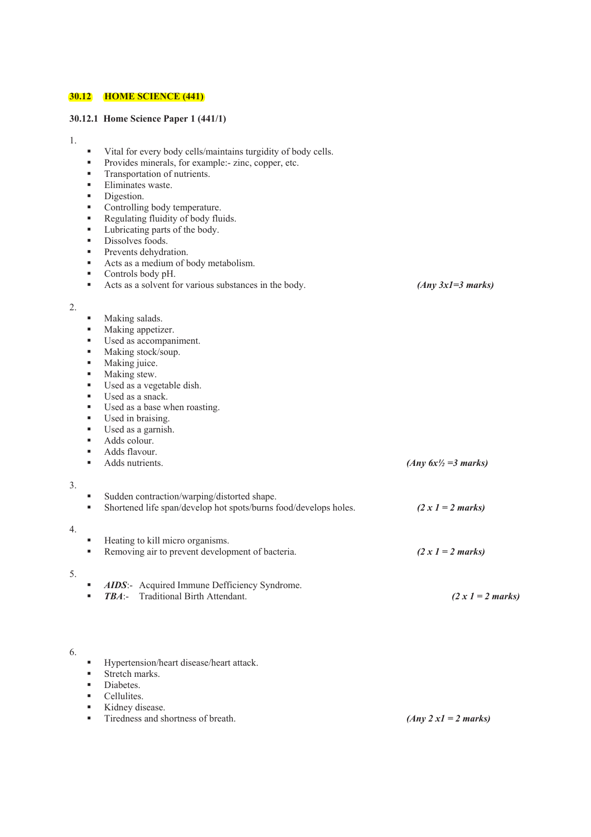## **30.12 HOME SCIENCE (441)**

#### **30.12.1 Home Science Paper 1 (441/1)**

|  | ×<br>i |  |
|--|--------|--|

|  |  |  | Vital for every body cells/maintains turgidity of body cells. |  |  |
|--|--|--|---------------------------------------------------------------|--|--|
|--|--|--|---------------------------------------------------------------|--|--|

- **Provides minerals, for example:** zinc, copper, etc.
- **Transportation of nutrients.**
- **Eliminates waste.**
- **Digestion.**
- Controlling body temperature.
- Regulating fluidity of body fluids.
- **Lubricating parts of the body.**
- Dissolves foods.
- **Prevents dehydration.**
- Acts as a medium of body metabolism.
- Controls body pH.
- Acts as a solvent for various substances in the body. *(Any 3x1=3 marks)* 
	-

#### 2.

- Making salads.
- Making appetizer.
- Used as accompaniment.
- **Making stock/soup.**
- Making juice.<br>• Making stew
- $Making$  stew.
- Used as a vegetable dish.<br>■ Used as a snack
- $\blacksquare$  Used as a snack.
- $\blacksquare$  Used as a base when roasting.<br> $\blacksquare$  Used in braising.
- Used in braising.
- Used as a garnish.
- Adds colour.
- Adds flavour.
- Adds nutrients. *(Any 6x½ =3 marks)*
- 3.
- Sudden contraction/warping/distorted shape. Shortened life span/develop hot spots/burns food/develops holes. *(2 x 1 = 2 marks)*

#### 4.

- Heating to kill micro organisms.
- Removing air to prevent development of bacteria. *(2 x 1 = 2 marks)*

## 5.

- *AIDS*:- Acquired Immune Defficiency Syndrome.
- **TBA:** Traditional Birth Attendant. *(2 x 1 = 2 marks)* 
	-

## 6.

- **Hypertension/heart disease/heart attack.**
- **Stretch marks.**
- **Diabetes.**
- Cellulites.
- Kidney disease.<br>Tiredness and sh
- Tiredness and shortness of breath. *(Any 2 x1 = 2 marks)*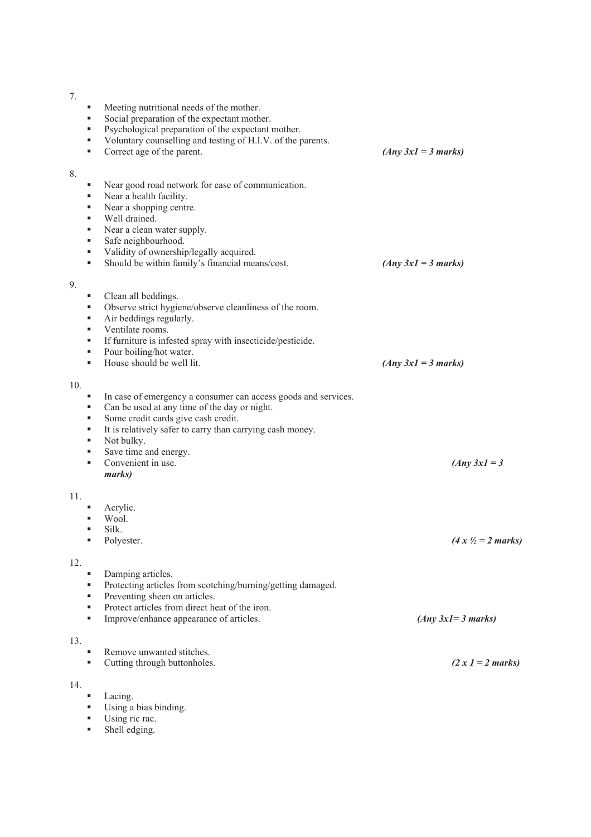| ×<br>۰. |  |
|---------|--|

| ٠<br>٠<br>٠<br>٠<br>٠ | Meeting nutritional needs of the mother.<br>Social preparation of the expectant mother.<br>Psychological preparation of the expectant mother.<br>Voluntary counselling and testing of H.I.V. of the parents.<br>Correct age of the parent. | $(Any 3x1 = 3 marks)$ |
|-----------------------|--------------------------------------------------------------------------------------------------------------------------------------------------------------------------------------------------------------------------------------------|-----------------------|
| 8.                    |                                                                                                                                                                                                                                            |                       |
| ٠                     | Near good road network for ease of communication.                                                                                                                                                                                          |                       |
| ٠                     | Near a health facility.                                                                                                                                                                                                                    |                       |
| ٠                     | Near a shopping centre.                                                                                                                                                                                                                    |                       |
| ٠<br>٠                | Well drained.<br>Near a clean water supply.                                                                                                                                                                                                |                       |
| ٠                     | Safe neighbourhood.                                                                                                                                                                                                                        |                       |
| ٠                     | Validity of ownership/legally acquired.                                                                                                                                                                                                    |                       |
| ٠                     | Should be within family's financial means/cost.                                                                                                                                                                                            | $(Any 3x1 = 3 marks)$ |
|                       |                                                                                                                                                                                                                                            |                       |
| 9.                    |                                                                                                                                                                                                                                            |                       |
| ٠                     | Clean all beddings.                                                                                                                                                                                                                        |                       |
| ٠                     | Observe strict hygiene/observe cleanliness of the room.                                                                                                                                                                                    |                       |
| ٠<br>٠                | Air beddings regularly.<br>Ventilate rooms.                                                                                                                                                                                                |                       |
| ٠                     | If furniture is infested spray with insecticide/pesticide.                                                                                                                                                                                 |                       |
| ٠                     | Pour boiling/hot water.                                                                                                                                                                                                                    |                       |
| ٠                     | House should be well lit.                                                                                                                                                                                                                  | $(Any 3x1 = 3 marks)$ |
|                       |                                                                                                                                                                                                                                            |                       |
| 10.                   |                                                                                                                                                                                                                                            |                       |
| ٠                     | In case of emergency a consumer can access goods and services.                                                                                                                                                                             |                       |
| ٠<br>٠                | Can be used at any time of the day or night.                                                                                                                                                                                               |                       |
| ٠                     | Some credit cards give cash credit.<br>It is relatively safer to carry than carrying cash money.                                                                                                                                           |                       |
| ٠                     | Not bulky.                                                                                                                                                                                                                                 |                       |
| ٠                     | Save time and energy.                                                                                                                                                                                                                      |                       |
| ٠                     | Convenient in use.                                                                                                                                                                                                                         | $(Any 3x1 = 3)$       |
|                       | marks)                                                                                                                                                                                                                                     |                       |
| 11.                   |                                                                                                                                                                                                                                            |                       |
| ٠                     | Acrylic.                                                                                                                                                                                                                                   |                       |
| ٠                     | Wool.                                                                                                                                                                                                                                      |                       |
| ٠                     | Silk.                                                                                                                                                                                                                                      |                       |
| ٠                     | Polyester.                                                                                                                                                                                                                                 | $(4 x 1/2 = 2 marks)$ |
| 12.                   |                                                                                                                                                                                                                                            |                       |
| ٠                     | Damping articles.                                                                                                                                                                                                                          |                       |
| ٠                     | Protecting articles from scotching/burning/getting damaged.                                                                                                                                                                                |                       |
| ٠                     | Preventing sheen on articles.                                                                                                                                                                                                              |                       |
| ٠                     | Protect articles from direct heat of the iron.                                                                                                                                                                                             |                       |
| ٠                     | Improve/enhance appearance of articles.                                                                                                                                                                                                    | $(Any 3x1 = 3 marks)$ |
|                       |                                                                                                                                                                                                                                            |                       |
| 13.                   | Remove unwanted stitches.                                                                                                                                                                                                                  |                       |
| ٠                     | Cutting through buttonholes.                                                                                                                                                                                                               | $(2 x 1 = 2 marks)$   |
|                       |                                                                                                                                                                                                                                            |                       |
| 14.                   |                                                                                                                                                                                                                                            |                       |
|                       | Lacing.                                                                                                                                                                                                                                    |                       |
|                       | Using a bias binding.                                                                                                                                                                                                                      |                       |

- Using ric rac.
- **Shell edging.**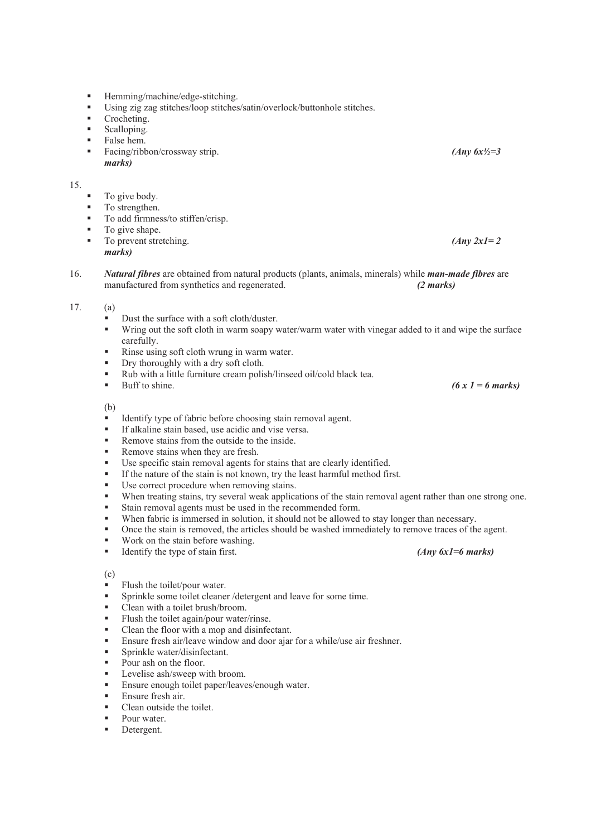- Hemming/machine/edge-stitching.
- Using zig zag stitches/loop stitches/satin/overlock/buttonhole stitches.
- Crocheting.
- Scalloping.
- False hem.
- Facing/ribbon/crossway strip. *(Any 6x½=3 marks)*

## 15.

- To give body.
- To strengthen.
- To add firmness/to stiffen/crisp.
- To give shape. To prevent stretching. *(Any 2x1= 2) (Any 2x1= 2)*
- *marks)*
- 16. *Natural fibres* are obtained from natural products (plants, animals, minerals) while *man-made fibres* are manufactured from synthetics and regenerated. *(2 marks)*

## 17. (a)

- Dust the surface with a soft cloth/duster.
- Wring out the soft cloth in warm soapy water/warm water with vinegar added to it and wipe the surface carefully.
- Rinse using soft cloth wrung in warm water.
- Dry thoroughly with a dry soft cloth.
- Rub with a little furniture cream polish/linseed oil/cold black tea.<br>Buff to shine.
- 

(b)

- Identify type of fabric before choosing stain removal agent.
- If alkaline stain based, use acidic and vise versa.
- Remove stains from the outside to the inside.
- Remove stains when they are fresh.
- Use specific stain removal agents for stains that are clearly identified.
- If the nature of the stain is not known, try the least harmful method first.
- Use correct procedure when removing stains.
- When treating stains, try several weak applications of the stain removal agent rather than one strong one.
- Stain removal agents must be used in the recommended form.
- When fabric is immersed in solution, it should not be allowed to stay longer than necessary.
- Once the stain is removed, the articles should be washed immediately to remove traces of the agent.
- Work on the stain before washing.
- Identify the type of stain first. *(Any 6x1=6 marks)*

#### (c)

- Flush the toilet/pour water.
- Sprinkle some toilet cleaner /detergent and leave for some time.
- Clean with a toilet brush/broom.
- Flush the toilet again/pour water/rinse.
- Clean the floor with a mop and disinfectant.
- Ensure fresh air/leave window and door ajar for a while/use air freshner.
- Sprinkle water/disinfectant.
- Pour ash on the floor.
- **Levelise ash/sweep with broom.**
- **Ensure enough toilet paper/leaves/enough water.**
- **Ensure fresh air.**
- Clean outside the toilet.
- Pour water.
- Detergent.

 $(6 x 1 = 6 marks)$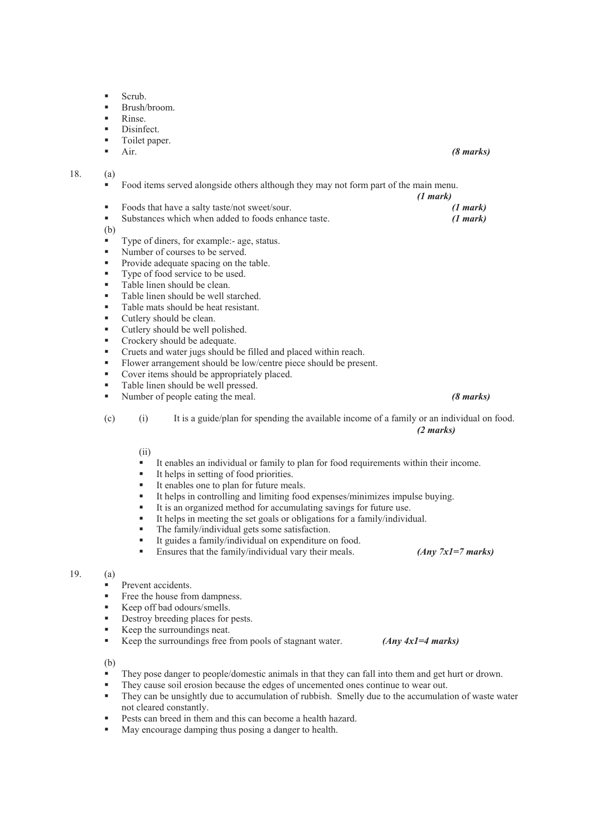- $S$ crub
- $\blacksquare$  Brush/broom.
- $\blacksquare$  Rinse.
- Disinfect.
- **Toilet paper.**
- 

#### 18. (a)

**Food items served alongside others although they may not form part of the main menu.** 

- *(1 mark)*  Foods that have a salty taste/not sweet/sour. *(1 mark)*  Substances which when added to foods enhance taste. *(1 mark)* (b) Type of diners, for example:- age, status. Number of courses to be served. • Provide adequate spacing on the table. ■ Type of food service to be used. Table linen should be clean. Table linen should be well starched. Table mats should be heat resistant.
- Cutlery should be clean.
- Cutlery should be well polished.
- Crockery should be adequate.
- Cruets and water jugs should be filled and placed within reach.
- Flower arrangement should be low/centre piece should be present.
- Cover items should be appropriately placed.<br>
Table linen should be well pressed
- Table linen should be well pressed.
- Number of people eating the meal. *(8 marks)*
- (c) (i) It is a guide/plan for spending the available income of a family or an individual on food. *(2 marks)*

(ii)

- It enables an individual or family to plan for food requirements within their income.<br>It helps in setting of food priorities
- It helps in setting of food priorities.
- It enables one to plan for future meals.
- It helps in controlling and limiting food expenses/minimizes impulse buying.
- It is an organized method for accumulating savings for future use.
- It helps in meeting the set goals or obligations for a family/individual.
- The family/individual gets some satisfaction.
- It guides a family/individual on expenditure on food.
- Ensures that the family/individual vary their meals. *(Any 7x1=7 marks)*

#### 19. (a)

- **Prevent accidents.**
- Free the house from dampness.
- Keep off bad odours/smells.
- Destroy breeding places for pests.
- Keep the surroundings neat.
- Keep the surroundings free from pools of stagnant water. *(Any 4x1=4 marks)*

(b)

- They pose danger to people/domestic animals in that they can fall into them and get hurt or drown.
- They cause soil erosion because the edges of uncemented ones continue to wear out.
- They can be unsightly due to accumulation of rubbish. Smelly due to the accumulation of waste water not cleared constantly.
- **Pests can breed in them and this can become a health hazard.**
- May encourage damping thus posing a danger to health.

 $\blacksquare$  Air.  $(8 \text{ marks})$  **(8 marks)**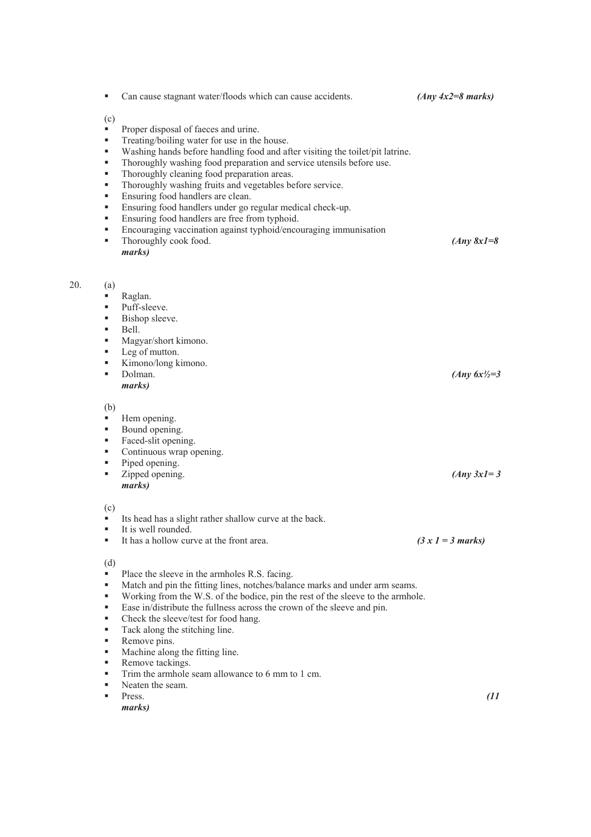| ٠                                                          | Can cause stagnant water/floods which can cause accidents.                                                                                                                                                                                                                                                                                                                                                                                                                                                                                                                                                         | $(Any \, 4x2=8 \, marks)$ |
|------------------------------------------------------------|--------------------------------------------------------------------------------------------------------------------------------------------------------------------------------------------------------------------------------------------------------------------------------------------------------------------------------------------------------------------------------------------------------------------------------------------------------------------------------------------------------------------------------------------------------------------------------------------------------------------|---------------------------|
| (c)<br>٠<br>٠<br>٠<br>٠<br>٠<br>٠<br>٠<br>٠<br>٠<br>٠<br>٠ | Proper disposal of faeces and urine.<br>Treating/boiling water for use in the house.<br>Washing hands before handling food and after visiting the toilet/pit latrine.<br>Thoroughly washing food preparation and service utensils before use.<br>Thoroughly cleaning food preparation areas.<br>Thoroughly washing fruits and vegetables before service.<br>Ensuring food handlers are clean.<br>Ensuring food handlers under go regular medical check-up.<br>Ensuring food handlers are free from typhoid.<br>Encouraging vaccination against typhoid/encouraging immunisation<br>Thoroughly cook food.<br>marks) | $(Any \space 8x1=8)$      |
| (a)<br>٠<br>٠<br>٠<br>٠<br>٠                               | Raglan.<br>Puff-sleeve.<br>Bishop sleeve.<br>Bell.<br>Magyar/short kimono.<br>Leg of mutton.<br>Kimono/long kimono.<br>Dolman.<br>marks)                                                                                                                                                                                                                                                                                                                                                                                                                                                                           | $(Any \ 6x\frac{1}{2}=3)$ |
| (b)<br>٠<br>٠<br>٠<br>٠<br>٠                               | Hem opening.<br>Bound opening.<br>Faced-slit opening.<br>Continuous wrap opening.<br>Piped opening.<br>Zipped opening.<br>marks)                                                                                                                                                                                                                                                                                                                                                                                                                                                                                   | $(Any 3x1 = 3)$           |
| (c)<br>٠                                                   | Its head has a slight rather shallow curve at the back.<br>It is well rounded.<br>It has a hollow curve at the front area.                                                                                                                                                                                                                                                                                                                                                                                                                                                                                         | $(3 x 1 = 3 marks)$       |
| (d)<br>٠<br>٠<br>٠<br>٠<br>٠<br>٠<br>٠<br>٠<br>٠<br>٠      | Place the sleeve in the armholes R.S. facing.<br>Match and pin the fitting lines, notches/balance marks and under arm seams.<br>Working from the W.S. of the bodice, pin the rest of the sleeve to the armhole.<br>Ease in/distribute the fullness across the crown of the sleeve and pin.<br>Check the sleeve/test for food hang.<br>Tack along the stitching line.<br>Remove pins.<br>Machine along the fitting line.<br>Remove tackings.<br>Trim the armhole seam allowance to 6 mm to 1 cm.                                                                                                                    |                           |
| ٠                                                          | Neaten the seam.<br>Press.                                                                                                                                                                                                                                                                                                                                                                                                                                                                                                                                                                                         | (11)                      |

*marks)* 

 $20.$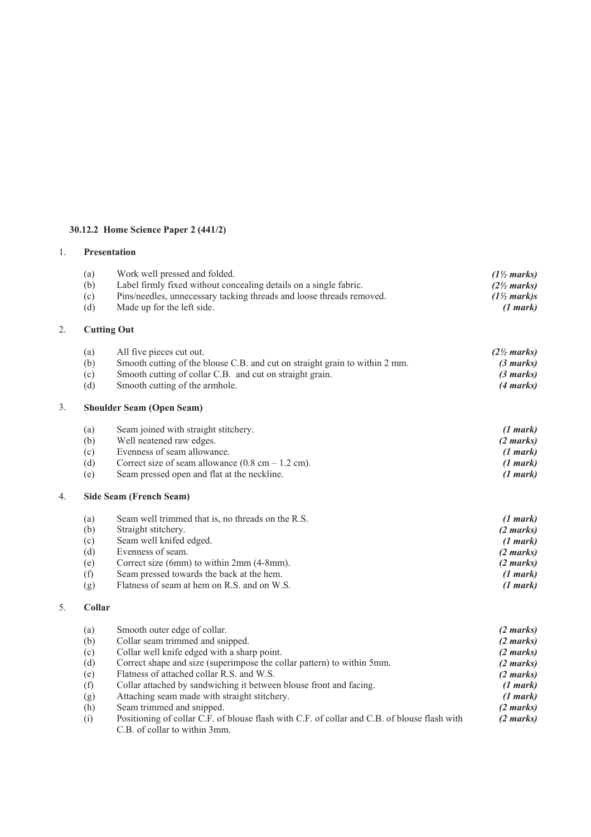# **30.12.2 Home Science Paper 2 (441/2)**

## 1. **Presentation**

|    | (a)<br>(b)<br>(c)<br>(d) | Work well pressed and folded.<br>Label firmly fixed without concealing details on a single fabric.<br>Pins/needles, unnecessary tacking threads and loose threads removed.<br>Made up for the left side. | $(1\frac{1}{2}$ marks)<br>(2 <sup>1</sup> / <sub>2</sub> marks)<br>$(1\frac{1}{2}$ mark)s<br>(1 mark) |  |  |  |
|----|--------------------------|----------------------------------------------------------------------------------------------------------------------------------------------------------------------------------------------------------|-------------------------------------------------------------------------------------------------------|--|--|--|
| 2. |                          | <b>Cutting Out</b>                                                                                                                                                                                       |                                                                                                       |  |  |  |
|    |                          |                                                                                                                                                                                                          |                                                                                                       |  |  |  |
|    | (a)                      | All five pieces cut out.                                                                                                                                                                                 | $(2\frac{1}{2}$ marks)                                                                                |  |  |  |
|    | (b)                      | Smooth cutting of the blouse C.B. and cut on straight grain to within 2 mm.                                                                                                                              | (3 marks)                                                                                             |  |  |  |
|    | (c)<br>(d)               | Smooth cutting of collar C.B. and cut on straight grain.<br>Smooth cutting of the armhole.                                                                                                               | (3 marks)<br>(4 marks)                                                                                |  |  |  |
| 3. |                          | <b>Shoulder Seam (Open Seam)</b>                                                                                                                                                                         |                                                                                                       |  |  |  |
|    | (a)                      | Seam joined with straight stitchery.                                                                                                                                                                     | (1 mark)                                                                                              |  |  |  |
|    | (b)                      | Well neatened raw edges.                                                                                                                                                                                 | (2 marks)                                                                                             |  |  |  |
|    | (c)                      | Evenness of seam allowance.                                                                                                                                                                              | (1 mark)                                                                                              |  |  |  |
|    | (d)                      | Correct size of seam allowance $(0.8 \text{ cm} - 1.2 \text{ cm})$ .                                                                                                                                     | (1 mark)                                                                                              |  |  |  |
|    | (e)                      | Seam pressed open and flat at the neckline.                                                                                                                                                              | (1 mark)                                                                                              |  |  |  |
| 4. |                          | Side Seam (French Seam)                                                                                                                                                                                  |                                                                                                       |  |  |  |
|    | (a)                      | Seam well trimmed that is, no threads on the R.S.                                                                                                                                                        | (1 mark)                                                                                              |  |  |  |
|    | (b)                      | Straight stitchery.                                                                                                                                                                                      | (2 marks)                                                                                             |  |  |  |
|    | (c)                      | Seam well knifed edged.                                                                                                                                                                                  | (1 mark)                                                                                              |  |  |  |
|    | (d)                      | Evenness of seam.                                                                                                                                                                                        | (2 marks)                                                                                             |  |  |  |
|    | (e)                      | Correct size (6mm) to within 2mm (4-8mm).                                                                                                                                                                | (2 marks)                                                                                             |  |  |  |
|    | (f)                      | Seam pressed towards the back at the hem.                                                                                                                                                                | (1 mark)                                                                                              |  |  |  |
|    | (g)                      | Flatness of seam at hem on R.S. and on W.S.                                                                                                                                                              | (1 mark)                                                                                              |  |  |  |
| 5. |                          | Collar                                                                                                                                                                                                   |                                                                                                       |  |  |  |
|    | (a)                      | Smooth outer edge of collar.                                                                                                                                                                             | (2 marks)                                                                                             |  |  |  |
|    | (b)                      | Collar seam trimmed and snipped.                                                                                                                                                                         | (2 marks)                                                                                             |  |  |  |
|    | (c)                      | Collar well knife edged with a sharp point.                                                                                                                                                              | $(2 \text{ marks})$                                                                                   |  |  |  |
|    | (d)                      | Correct shape and size (superimpose the collar pattern) to within 5mm.                                                                                                                                   | (2 marks)                                                                                             |  |  |  |
|    | (e)                      | Flatness of attached collar R.S. and W.S.                                                                                                                                                                | $(2 \text{ marks})$                                                                                   |  |  |  |
|    | (f)                      | Collar attached by sandwiching it between blouse front and facing.                                                                                                                                       | (1 mark)                                                                                              |  |  |  |
|    | (g)                      | Attaching seam made with straight stitchery.                                                                                                                                                             | (1 mark)                                                                                              |  |  |  |
|    | (h)                      | Seam trimmed and snipped.                                                                                                                                                                                | (2 marks)                                                                                             |  |  |  |
|    | (i)                      | Positioning of collar C.F. of blouse flash with C.F. of collar and C.B. of blouse flash with<br>C.B. of collar to within 3mm.                                                                            | (2 marks)                                                                                             |  |  |  |